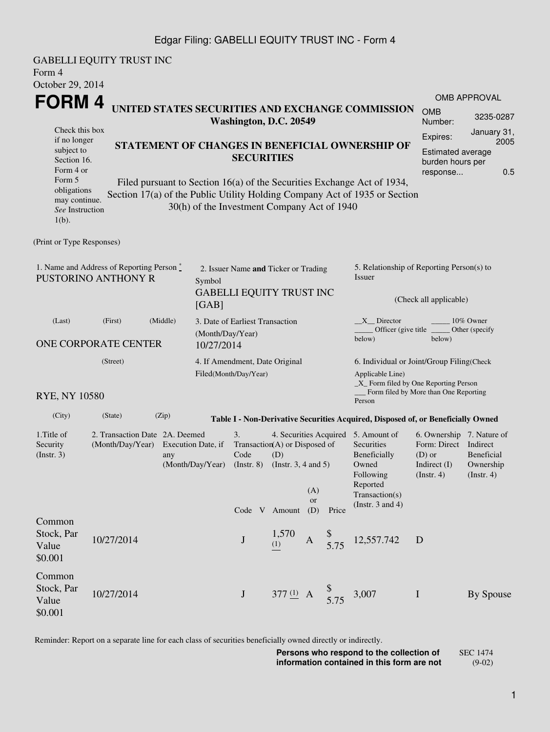### Edgar Filing: GABELLI EQUITY TRUST INC - Form 4

GABELLI EQUITY TRUST INC Form 4 October 29, 2014 **FORM 4** Check this box if no longer subject to Section 16. Form 4 or Form 5 obligations may continue. *See* Instruction 1(b). **UNITED STATES SECURITIES AND EXCHANGE COMMISSION Washington, D.C. 20549 STATEMENT OF CHANGES IN BENEFICIAL OWNERSHIP OF SECURITIES** Filed pursuant to Section 16(a) of the Securities Exchange Act of 1934, Section 17(a) of the Public Utility Holding Company Act of 1935 or Section 30(h) of the Investment Company Act of 1940 OMB APPROVAL OMB Number: 3235-0287 Expires: January 31, 2005 Estimated average burden hours per response... 0.5 (Print or Type Responses) 1. Name and Address of Reporting Person \* PUSTORINO ANTHONY R 2. Issuer Name **and** Ticker or Trading Symbol GABELLI EQUITY TRUST INC [GAB] 5. Relationship of Reporting Person(s) to Issuer (Check all applicable) \_X\_\_ Director \_\_\_\_\_\_\_\_ 10% Owner Officer (give title below) Other (specify below) (Last) (First) (Middle) ONE CORPORATE CENTER 3. Date of Earliest Transaction (Month/Day/Year) 10/27/2014 (Street) RYE, NY 10580 4. If Amendment, Date Original Filed(Month/Day/Year) 6. Individual or Joint/Group Filing(Check Applicable Line) \_X\_ Form filed by One Reporting Person Form filed by More than One Reporting Person (City) (State) (Zip) **Table I - Non-Derivative Securities Acquired, Disposed of, or Beneficially Owned** 1.Title of Security (Instr. 3) 2. Transaction Date 2A. Deemed (Month/Day/Year) Execution Date, if any (Month/Day/Year) 3. Transaction (A) or Disposed of Code (Instr. 8) 4. Securities Acquired 5. Amount of (D) (Instr. 3, 4 and 5) **Securities** Beneficially Owned Following Reported Transaction(s) (Instr. 3 and 4) 6. Ownership 7. Nature of Form: Direct Indirect (D) or Indirect (I) (Instr. 4) Beneficial Ownership (Instr. 4) Code V Amount (A) or Price Common Stock, Par Value \$0.001 10/27/2014 J 1,570  $\begin{array}{cc} 1,570 \\ (1) \end{array}$  A \$  $\frac{9}{5.75}$  12,557.742 D Common Stock, Par Value \$0.001 10/27/2014 **J** 377 (1) A  $\frac{\$}{5.75}$  3,007 **I** By Spouse

Reminder: Report on a separate line for each class of securities beneficially owned directly or indirectly.

**Persons who respond to the collection of information contained in this form are not** SEC 1474 (9-02)